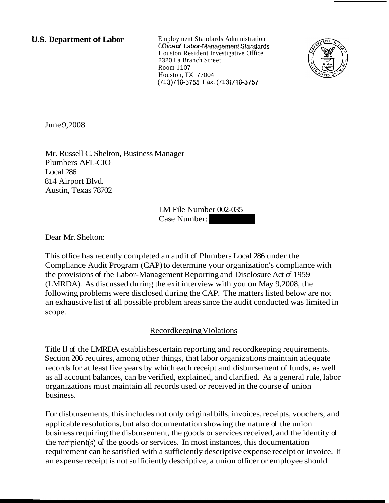**U.S. Department of Labor** Employment Standards Administration *Dffice of Labor-Management Standards* Houston Resident Investigative Office 2320 La Branch Street Room 1 107 Houston, TX 77004 (71 3)71&3755 Fax: (71 3)71&3757



June 9,2008

Mr. Russell C. Shelton, Business Manager Plumbers AFL-CIO Local 286 814 Airport Blvd. Austin, Texas 78702

LM File Number 002-035 Case Number: -

Dear Mr. Shelton:

This office has recently completed an audit of Plumbers Local 286 under the Compliance Audit Program (CAP) to determine your organization's compliance with the provisions of the Labor-Management Reporting and Disclosure Act of 1959 (LMRDA). As discussed during the exit interview with you on May 9,2008, the following problems were disclosed during the CAP. The matters listed below are not an exhaustive list of all possible problem areas since the audit conducted was limited in scope.

# Recordkeeping Violations

Title I1 of the LMRDA establishes certain reporting and recordkeeping requirements. Section 206 requires, among other things, that labor organizations maintain adequate records for at least five years by which each receipt and disbursement of funds, as well as all account balances, can be verified, explained, and clarified. As a general rule, labor organizations must maintain all records used or received in the course of union business.

For disbursements, this includes not only original bills, invoices, receipts, vouchers, and applicable resolutions, but also documentation showing the nature of the union business requiring the disbursement, the goods or services received, and the identity of the recipient(s) of the goods or services. In most instances, this documentation requirement can be satisfied with a sufficiently descriptive expense receipt or invoice. If an expense receipt is not sufficiently descriptive, a union officer or employee should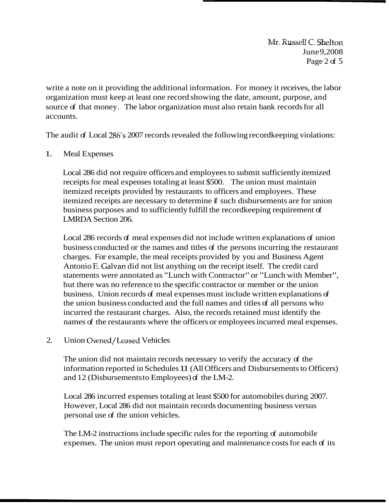**Mr. Russell C. Shelton** June 9,2008 Page 2 of  $5$ 

write a note on it providing the additional information. For money it receives, the labor organization must keep at least one record showing the date, amount, purpose, and source of that money. The labor organization must also retain bank records for all accounts.

The audit of Local 286's 2007 records revealed the following record keeping violations:

#### 1. Meal Expenses

Local 286 did not require officers and employees to submit sufficiently itemized receipts for meal expenses totaling at least \$500. The union must maintain itemized receipts provided by restaurants to officers and employees. These itemized receipts are necessary to determine if such disbursements are for union business purposes and to sufficiently fulfill the recordkeeping requirement of LMRDA Section 206.

Local 286 records of meal expenses did not include written explanations of union business conducted or the names and titles of the persons incurring the restaurant charges. For example, the meal receipts provided by you and Business Agent Antonio E. Galvan did not list anything on the receipt itself. The credit card statements were annotated as "Lunch with Contractor" or "Lunch with Member", but there was no reference to the specific contractor or member or the union business. Union records of meal expenses must include written explanations of the union business conducted and the full names and titles of all persons who incurred the restaurant charges. Also, the records retained must identify the names of the restaurants where the officers or employees incurred meal expenses.

# 2. Union Owned/Leased Vehicles

The union did not maintain records necessary to verify the accuracy of the information reported in Schedules 11 (All Officers and Disbursements to Officers) and 12 (Disbursements to Employees) of the LM-2.

Local 286 incurred expenses totaling at least \$500 for automobiles during 2007. However, Local 286 did not maintain records documenting business versus personal use of the union vehicles.

The LM-2 instructions include specific rules for the reporting of automobile expenses. The union must report operating and maintenance costs for each of its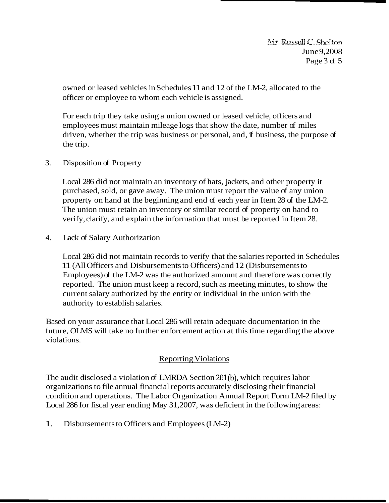$Mr.$  Russell  $C.$  Shelton June 9,2008 Page  $3<sub>of</sub> 5$ 

owned or leased vehicles in Schedules 11 and 12 of the LM-2, allocated to the officer or employee to whom each vehicle is assigned.

For each trip they take using a union owned or leased vehicle, officers and employees must maintain mileage logs that show the date, number of miles driven, whether the trip was business or personal, and, if business, the purpose of the trip.

3. Disposition of Property

Local 286 did not maintain an inventory of hats, jackets, and other property it purchased, sold, or gave away. The union must report the value of any union property on hand at the beginning and end of each year in Item 28 of the LM-2. The union must retain an inventory or similar record of property on hand to verify, clarify, and explain the information that must be reported in Item 28.

4. Lack of Salary Authorization

Local 286 did not maintain records to verify that the salaries reported in Schedules 11 (All Officers and Disbursements to Officers) and 12 (Disbursements to Employees) of the LM-2 was the authorized amount and therefore was correctly reported. The union must keep a record, such as meeting minutes, to show the current salary authorized by the entity or individual in the union with the authority to establish salaries.

Based on your assurance that Local 286 will retain adequate documentation in the future, OLMS will take no further enforcement action at this time regarding the above violations.

# Reporting Violations

The audit disclosed a violation of LMRDA Section 201(b), which requires labor organizations to file annual financial reports accurately disclosing their financial condition and operations. The Labor Organization Annual Report Form LM-2 filed by Local 286 for fiscal year ending May 31,2007, was deficient in the following areas:

1. Disbursements to Officers and Employees (LM-2)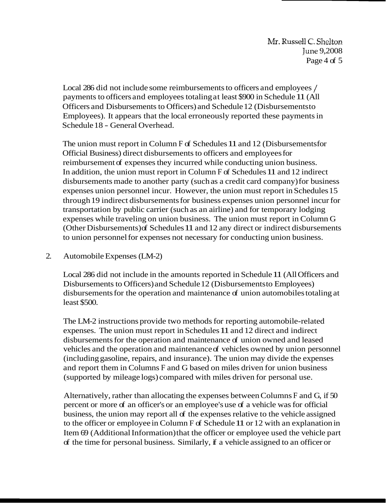Local 286 did not include some reimbursements to officers and employees / payments to officers and employees totaling at least \$900 in Schedule 11 (All Officers and Disbursements to Officers) and Schedule 12 (Disbursements to Employees). It appears that the local erroneously reported these payments in Schedule 18 - General Overhead.

The union must report in Column F of Schedules 11 and 12 (Disbursements for Official Business) direct disbursements to officers and employees for reimbursement of expenses they incurred while conducting union business. In addition, the union must report in Column F of Schedules 11 and 12 indirect disbursements made to another party (such as a credit card company) for business expenses union personnel incur. However, the union must report in Schedules 15 through 19 indirect disbursements for business expenses union personnel incur for transportation by public carrier (such as an airline) and for temporary lodging expenses while traveling on union business. The union must report in Column G (Other Disbursements) of Schedules 11 and 12 any direct or indirect disbursements to union personnel for expenses not necessary for conducting union business.

#### 2. Automobile Expenses (LM-2)

Local 286 did not include in the amounts reported in Schedule 11 (All Officers and Disbursements to Officers) and Schedule 12 (Disbursements to Employees) disbursements for the operation and maintenance of union automobiles totaling at least \$500.

The LM-2 instructions provide two methods for reporting automobile-related expenses. The union must report in Schedules 11 and 12 direct and indirect disbursements for the operation and maintenance of union owned and leased vehicles and the operation and maintenance of vehicles owned by union personnel (including gasoline, repairs, and insurance). The union may divide the expenses and report them in Columns F and G based on miles driven for union business (supported by mileage logs) compared with miles driven for personal use.

Alternatively, rather than allocating the expenses between Columns F and G, if 50 percent or more of an officer's or an employee's use of a vehicle was for official business, the union may report all of the expenses relative to the vehicle assigned to the officer or employee in Column F of Schedule 11 or 12 with an explanation in Item 69 (Additional Information) that the officer or employee used the vehicle part of the time for personal business. Similarly, if a vehicle assigned to an officer or